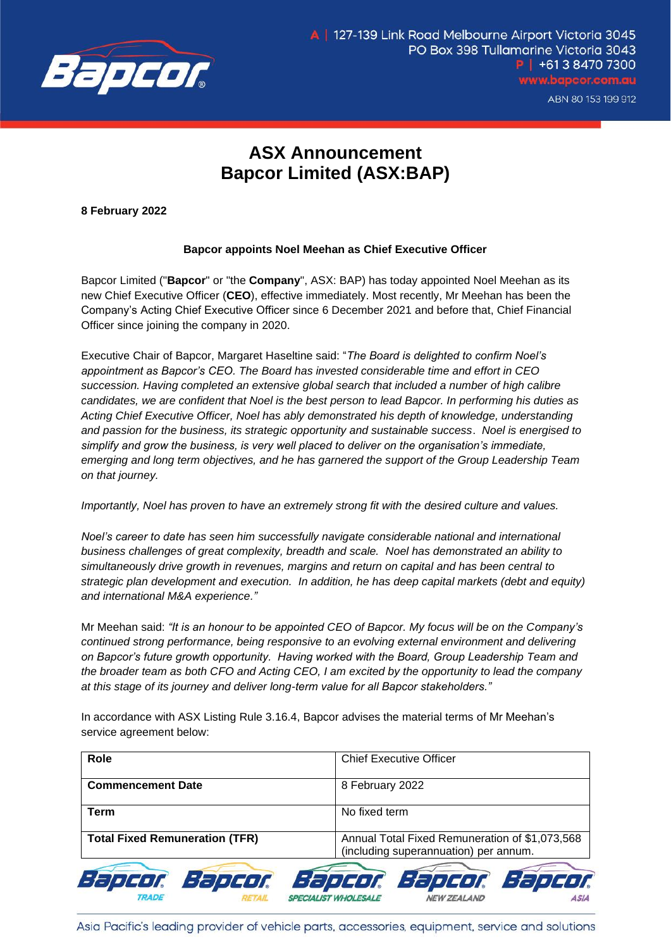

## **ASX Announcement Bapcor Limited (ASX:BAP)**

**8 February 2022**

## **Bapcor appoints Noel Meehan as Chief Executive Officer**

Bapcor Limited ("**Bapcor**" or "the **Company**", ASX: BAP) has today appointed Noel Meehan as its new Chief Executive Officer (**CEO**), effective immediately. Most recently, Mr Meehan has been the Company's Acting Chief Executive Officer since 6 December 2021 and before that, Chief Financial Officer since joining the company in 2020.

Executive Chair of Bapcor, Margaret Haseltine said: "*The Board is delighted to confirm Noel's appointment as Bapcor's CEO. The Board has invested considerable time and effort in CEO succession. Having completed an extensive global search that included a number of high calibre candidates, we are confident that Noel is the best person to lead Bapcor. In performing his duties as Acting Chief Executive Officer, Noel has ably demonstrated his depth of knowledge, understanding and passion for the business, its strategic opportunity and sustainable success*. *Noel is energised to simplify and grow the business, is very well placed to deliver on the organisation's immediate, emerging and long term objectives, and he has garnered the support of the Group Leadership Team on that journey.*

*Importantly, Noel has proven to have an extremely strong fit with the desired culture and values.* 

*Noel's career to date has seen him successfully navigate considerable national and international business challenges of great complexity, breadth and scale. Noel has demonstrated an ability to simultaneously drive growth in revenues, margins and return on capital and has been central to strategic plan development and execution. In addition, he has deep capital markets (debt and equity) and international M&A experience."*

Mr Meehan said: *"It is an honour to be appointed CEO of Bapcor. My focus will be on the Company's continued strong performance, being responsive to an evolving external environment and delivering on Bapcor's future growth opportunity. Having worked with the Board, Group Leadership Team and the broader team as both CFO and Acting CEO, I am excited by the opportunity to lead the company at this stage of its journey and deliver long-term value for all Bapcor stakeholders."*

In accordance with ASX Listing Rule 3.16.4, Bapcor advises the material terms of Mr Meehan's service agreement below:

| <b>Role</b>                           | <b>Chief Executive Officer</b>                                                          |
|---------------------------------------|-----------------------------------------------------------------------------------------|
| <b>Commencement Date</b>              | 8 February 2022                                                                         |
| <b>Term</b>                           | No fixed term                                                                           |
| <b>Total Fixed Remuneration (TFR)</b> | Annual Total Fixed Remuneration of \$1,073,568<br>(including superannuation) per annum. |
| Bapcor Bapcor Bapcor Bapcor Bapcor    |                                                                                         |

Asia Pacific's leading provider of vehicle parts, accessories, equipment, service and solutions